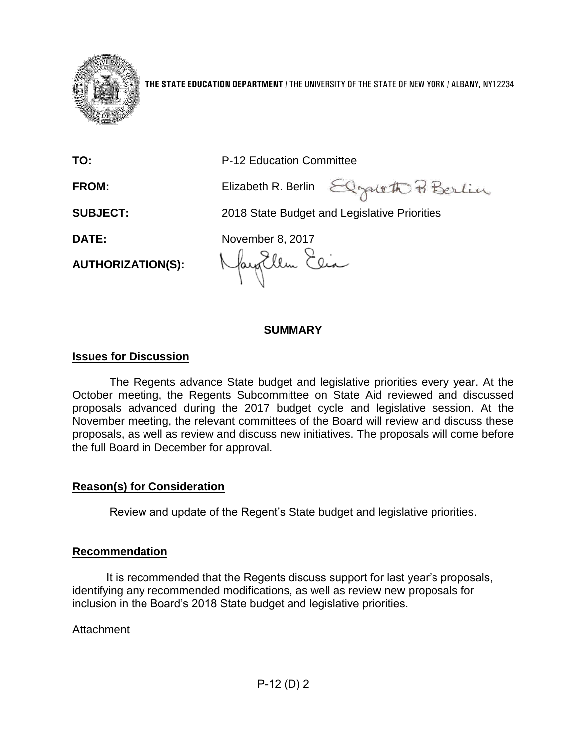

**THE STATE EDUCATION DEPARTMENT** / THE UNIVERSITY OF THE STATE OF NEW YORK / ALBANY, NY12234

| TO:                      | P-12 Education Committee                     |  |
|--------------------------|----------------------------------------------|--|
| <b>FROM:</b>             | Elizabeth R. Berlin Elgaleth P. Berlin       |  |
| <b>SUBJECT:</b>          | 2018 State Budget and Legislative Priorities |  |
| DATE:                    | November 8, 2017                             |  |
| <b>AUTHORIZATION(S):</b> | Nayorlem Elia                                |  |

## **SUMMARY**

### **Issues for Discussion**

The Regents advance State budget and legislative priorities every year. At the October meeting, the Regents Subcommittee on State Aid reviewed and discussed proposals advanced during the 2017 budget cycle and legislative session. At the November meeting, the relevant committees of the Board will review and discuss these proposals, as well as review and discuss new initiatives. The proposals will come before the full Board in December for approval.

## **Reason(s) for Consideration**

Review and update of the Regent's State budget and legislative priorities.

#### **Recommendation**

It is recommended that the Regents discuss support for last year's proposals, identifying any recommended modifications, as well as review new proposals for inclusion in the Board's 2018 State budget and legislative priorities.

**Attachment**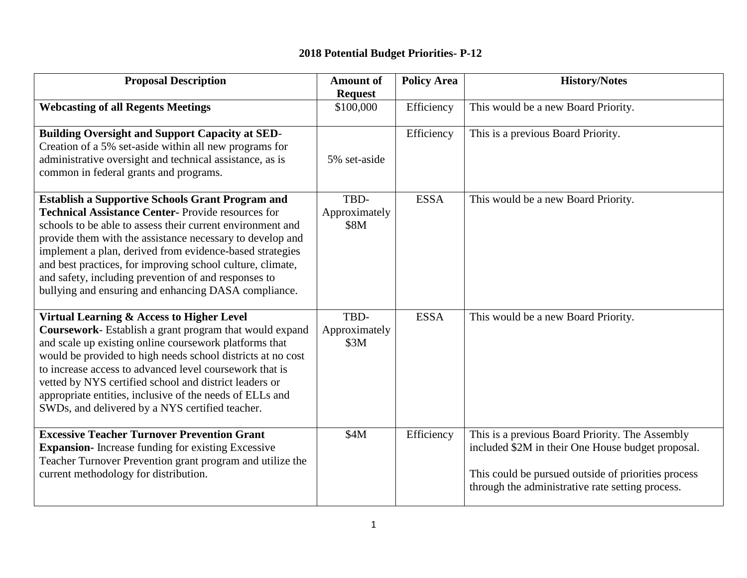# **2018 Potential Budget Priorities- P-12**

| <b>Proposal Description</b>                                                                                                                                                                                                                                                                                                                                                                                                                                                              | <b>Amount of</b>              | <b>Policy Area</b> | <b>History/Notes</b>                                                                                                                                                                                            |
|------------------------------------------------------------------------------------------------------------------------------------------------------------------------------------------------------------------------------------------------------------------------------------------------------------------------------------------------------------------------------------------------------------------------------------------------------------------------------------------|-------------------------------|--------------------|-----------------------------------------------------------------------------------------------------------------------------------------------------------------------------------------------------------------|
| <b>Webcasting of all Regents Meetings</b>                                                                                                                                                                                                                                                                                                                                                                                                                                                | <b>Request</b><br>\$100,000   | Efficiency         | This would be a new Board Priority.                                                                                                                                                                             |
| <b>Building Oversight and Support Capacity at SED-</b><br>Creation of a 5% set-aside within all new programs for<br>administrative oversight and technical assistance, as is<br>common in federal grants and programs.                                                                                                                                                                                                                                                                   | 5% set-aside                  | Efficiency         | This is a previous Board Priority.                                                                                                                                                                              |
| <b>Establish a Supportive Schools Grant Program and</b><br><b>Technical Assistance Center-Provide resources for</b><br>schools to be able to assess their current environment and<br>provide them with the assistance necessary to develop and<br>implement a plan, derived from evidence-based strategies<br>and best practices, for improving school culture, climate,<br>and safety, including prevention of and responses to<br>bullying and ensuring and enhancing DASA compliance. | TBD-<br>Approximately<br>\$8M | <b>ESSA</b>        | This would be a new Board Priority.                                                                                                                                                                             |
| Virtual Learning & Access to Higher Level<br>Coursework- Establish a grant program that would expand<br>and scale up existing online coursework platforms that<br>would be provided to high needs school districts at no cost<br>to increase access to advanced level coursework that is<br>vetted by NYS certified school and district leaders or<br>appropriate entities, inclusive of the needs of ELLs and<br>SWDs, and delivered by a NYS certified teacher.                        | TBD-<br>Approximately<br>\$3M | <b>ESSA</b>        | This would be a new Board Priority.                                                                                                                                                                             |
| <b>Excessive Teacher Turnover Prevention Grant</b><br><b>Expansion-</b> Increase funding for existing Excessive<br>Teacher Turnover Prevention grant program and utilize the<br>current methodology for distribution.                                                                                                                                                                                                                                                                    | \$4M                          | Efficiency         | This is a previous Board Priority. The Assembly<br>included \$2M in their One House budget proposal.<br>This could be pursued outside of priorities process<br>through the administrative rate setting process. |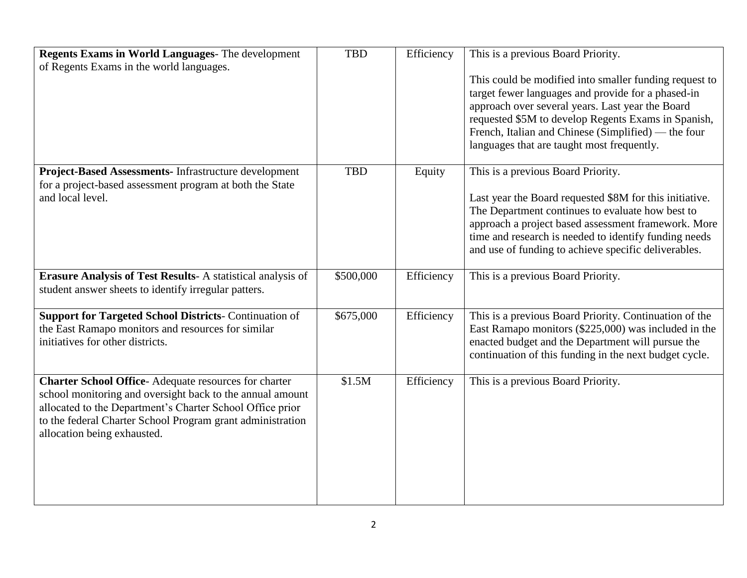| Regents Exams in World Languages- The development<br>of Regents Exams in the world languages.                                                                                                                                                                                      | <b>TBD</b> | Efficiency | This is a previous Board Priority.<br>This could be modified into smaller funding request to<br>target fewer languages and provide for a phased-in<br>approach over several years. Last year the Board<br>requested \$5M to develop Regents Exams in Spanish,<br>French, Italian and Chinese (Simplified) — the four<br>languages that are taught most frequently. |
|------------------------------------------------------------------------------------------------------------------------------------------------------------------------------------------------------------------------------------------------------------------------------------|------------|------------|--------------------------------------------------------------------------------------------------------------------------------------------------------------------------------------------------------------------------------------------------------------------------------------------------------------------------------------------------------------------|
| Project-Based Assessments- Infrastructure development<br>for a project-based assessment program at both the State<br>and local level.                                                                                                                                              | <b>TBD</b> | Equity     | This is a previous Board Priority.<br>Last year the Board requested \$8M for this initiative.<br>The Department continues to evaluate how best to<br>approach a project based assessment framework. More<br>time and research is needed to identify funding needs<br>and use of funding to achieve specific deliverables.                                          |
| <b>Erasure Analysis of Test Results-A statistical analysis of</b><br>student answer sheets to identify irregular patters.                                                                                                                                                          | \$500,000  | Efficiency | This is a previous Board Priority.                                                                                                                                                                                                                                                                                                                                 |
| <b>Support for Targeted School Districts-Continuation of</b><br>the East Ramapo monitors and resources for similar<br>initiatives for other districts.                                                                                                                             | \$675,000  | Efficiency | This is a previous Board Priority. Continuation of the<br>East Ramapo monitors (\$225,000) was included in the<br>enacted budget and the Department will pursue the<br>continuation of this funding in the next budget cycle.                                                                                                                                      |
| <b>Charter School Office-Adequate resources for charter</b><br>school monitoring and oversight back to the annual amount<br>allocated to the Department's Charter School Office prior<br>to the federal Charter School Program grant administration<br>allocation being exhausted. | \$1.5M     | Efficiency | This is a previous Board Priority.                                                                                                                                                                                                                                                                                                                                 |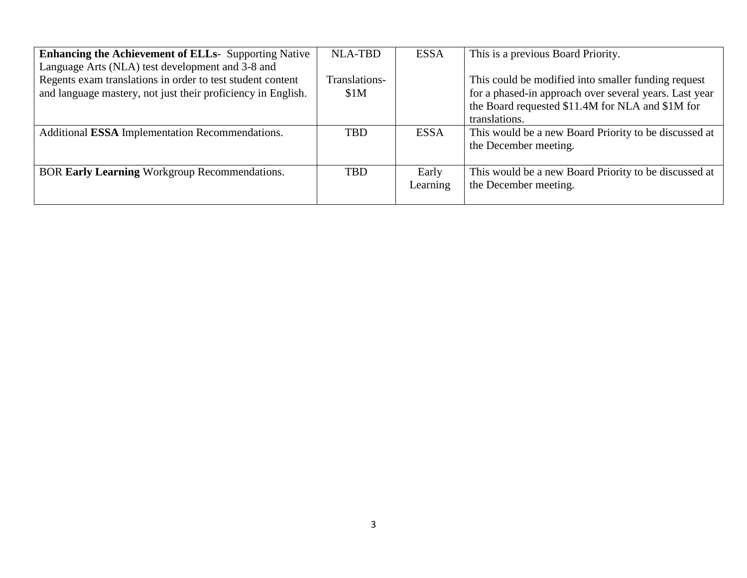| <b>Enhancing the Achievement of ELLs-</b> Supporting Native<br>Language Arts (NLA) test development and 3-8 and            | <b>NLA-TBD</b>        | <b>ESSA</b>       | This is a previous Board Priority.                                                                                                                                                 |
|----------------------------------------------------------------------------------------------------------------------------|-----------------------|-------------------|------------------------------------------------------------------------------------------------------------------------------------------------------------------------------------|
| Regents exam translations in order to test student content<br>and language mastery, not just their proficiency in English. | Translations-<br>\$1M |                   | This could be modified into smaller funding request<br>for a phased-in approach over several years. Last year<br>the Board requested \$11.4M for NLA and \$1M for<br>translations. |
| Additional ESSA Implementation Recommendations.                                                                            | <b>TBD</b>            | <b>ESSA</b>       | This would be a new Board Priority to be discussed at<br>the December meeting.                                                                                                     |
| BOR Early Learning Workgroup Recommendations.                                                                              | <b>TBD</b>            | Early<br>Learning | This would be a new Board Priority to be discussed at<br>the December meeting.                                                                                                     |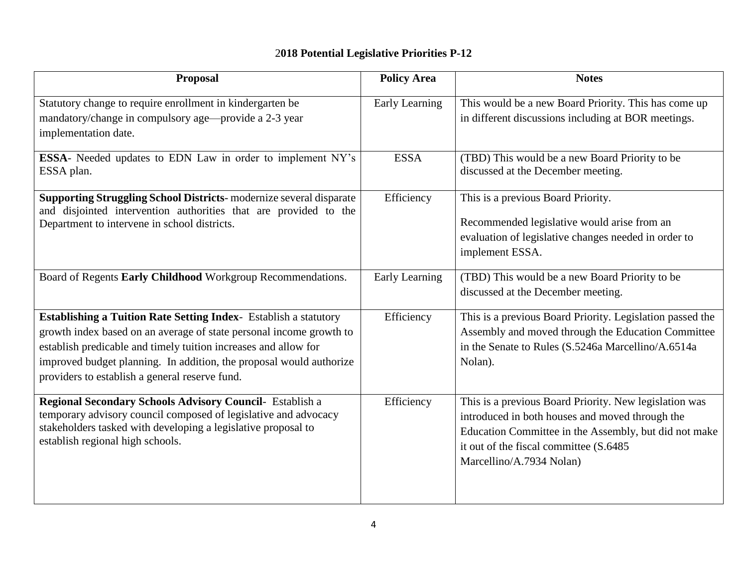# 2**018 Potential Legislative Priorities P-12**

| <b>Proposal</b>                                                                                                                                                                                                                                                                                                                            | <b>Policy Area</b> | <b>Notes</b>                                                                                                                                                                                                                              |
|--------------------------------------------------------------------------------------------------------------------------------------------------------------------------------------------------------------------------------------------------------------------------------------------------------------------------------------------|--------------------|-------------------------------------------------------------------------------------------------------------------------------------------------------------------------------------------------------------------------------------------|
| Statutory change to require enrollment in kindergarten be<br>mandatory/change in compulsory age—provide a 2-3 year<br>implementation date.                                                                                                                                                                                                 | Early Learning     | This would be a new Board Priority. This has come up<br>in different discussions including at BOR meetings.                                                                                                                               |
| ESSA- Needed updates to EDN Law in order to implement NY's<br>ESSA plan.                                                                                                                                                                                                                                                                   | <b>ESSA</b>        | (TBD) This would be a new Board Priority to be<br>discussed at the December meeting.                                                                                                                                                      |
| <b>Supporting Struggling School Districts-</b> modernize several disparate<br>and disjointed intervention authorities that are provided to the<br>Department to intervene in school districts.                                                                                                                                             | Efficiency         | This is a previous Board Priority.<br>Recommended legislative would arise from an<br>evaluation of legislative changes needed in order to<br>implement ESSA.                                                                              |
| Board of Regents Early Childhood Workgroup Recommendations.                                                                                                                                                                                                                                                                                | Early Learning     | (TBD) This would be a new Board Priority to be<br>discussed at the December meeting.                                                                                                                                                      |
| <b>Establishing a Tuition Rate Setting Index-</b> Establish a statutory<br>growth index based on an average of state personal income growth to<br>establish predicable and timely tuition increases and allow for<br>improved budget planning. In addition, the proposal would authorize<br>providers to establish a general reserve fund. | Efficiency         | This is a previous Board Priority. Legislation passed the<br>Assembly and moved through the Education Committee<br>in the Senate to Rules (S.5246a Marcellino/A.6514a<br>Nolan).                                                          |
| Regional Secondary Schools Advisory Council- Establish a<br>temporary advisory council composed of legislative and advocacy<br>stakeholders tasked with developing a legislative proposal to<br>establish regional high schools.                                                                                                           | Efficiency         | This is a previous Board Priority. New legislation was<br>introduced in both houses and moved through the<br>Education Committee in the Assembly, but did not make<br>it out of the fiscal committee (S.6485)<br>Marcellino/A.7934 Nolan) |